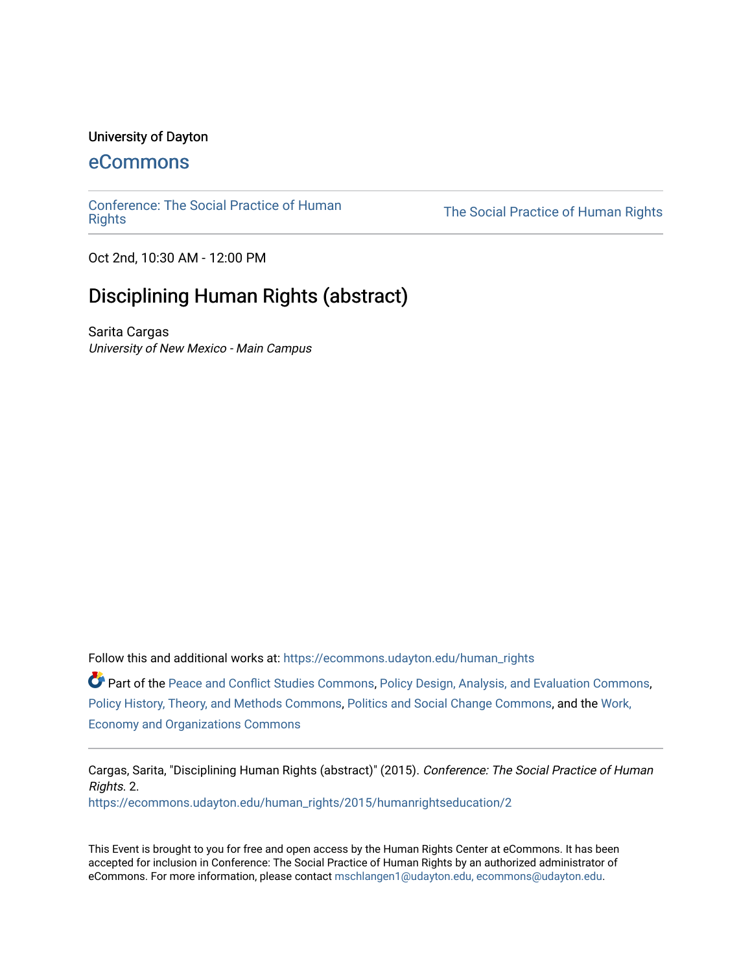### University of Dayton

## [eCommons](https://ecommons.udayton.edu/)

[Conference: The Social Practice of Human](https://ecommons.udayton.edu/human_rights)

The Social Practice of Human Rights

Oct 2nd, 10:30 AM - 12:00 PM

# Disciplining Human Rights (abstract)

Sarita Cargas University of New Mexico - Main Campus

Follow this and additional works at: [https://ecommons.udayton.edu/human\\_rights](https://ecommons.udayton.edu/human_rights?utm_source=ecommons.udayton.edu%2Fhuman_rights%2F2015%2Fhumanrightseducation%2F2&utm_medium=PDF&utm_campaign=PDFCoverPages)

Part of the [Peace and Conflict Studies Commons,](http://network.bepress.com/hgg/discipline/397?utm_source=ecommons.udayton.edu%2Fhuman_rights%2F2015%2Fhumanrightseducation%2F2&utm_medium=PDF&utm_campaign=PDFCoverPages) [Policy Design, Analysis, and Evaluation Commons](http://network.bepress.com/hgg/discipline/1032?utm_source=ecommons.udayton.edu%2Fhuman_rights%2F2015%2Fhumanrightseducation%2F2&utm_medium=PDF&utm_campaign=PDFCoverPages), [Policy History, Theory, and Methods Commons,](http://network.bepress.com/hgg/discipline/1036?utm_source=ecommons.udayton.edu%2Fhuman_rights%2F2015%2Fhumanrightseducation%2F2&utm_medium=PDF&utm_campaign=PDFCoverPages) [Politics and Social Change Commons](http://network.bepress.com/hgg/discipline/425?utm_source=ecommons.udayton.edu%2Fhuman_rights%2F2015%2Fhumanrightseducation%2F2&utm_medium=PDF&utm_campaign=PDFCoverPages), and the [Work,](http://network.bepress.com/hgg/discipline/433?utm_source=ecommons.udayton.edu%2Fhuman_rights%2F2015%2Fhumanrightseducation%2F2&utm_medium=PDF&utm_campaign=PDFCoverPages) [Economy and Organizations Commons](http://network.bepress.com/hgg/discipline/433?utm_source=ecommons.udayton.edu%2Fhuman_rights%2F2015%2Fhumanrightseducation%2F2&utm_medium=PDF&utm_campaign=PDFCoverPages) 

Cargas, Sarita, "Disciplining Human Rights (abstract)" (2015). Conference: The Social Practice of Human Rights. 2. [https://ecommons.udayton.edu/human\\_rights/2015/humanrightseducation/2](https://ecommons.udayton.edu/human_rights/2015/humanrightseducation/2?utm_source=ecommons.udayton.edu%2Fhuman_rights%2F2015%2Fhumanrightseducation%2F2&utm_medium=PDF&utm_campaign=PDFCoverPages) 

This Event is brought to you for free and open access by the Human Rights Center at eCommons. It has been accepted for inclusion in Conference: The Social Practice of Human Rights by an authorized administrator of eCommons. For more information, please contact [mschlangen1@udayton.edu, ecommons@udayton.edu.](mailto:mschlangen1@udayton.edu,%20ecommons@udayton.edu)